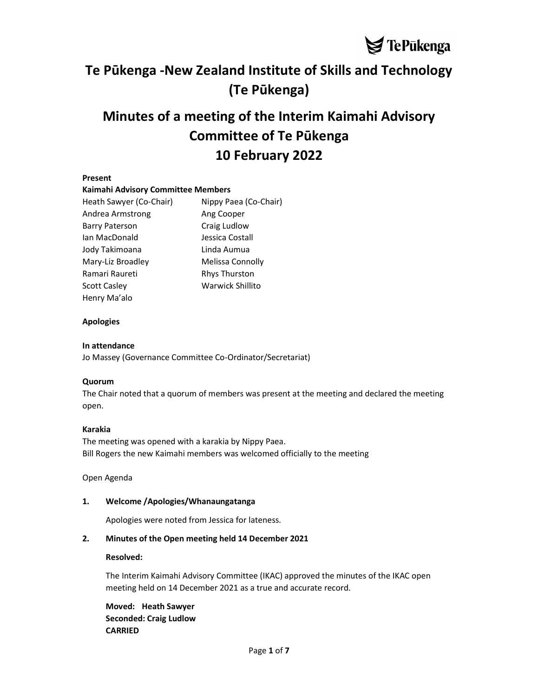# Te Pūkenga -New Zealand Institute of Skills and Technology (Te Pūkenga)

# Minutes of a meeting of the Interim Kaimahi Advisory Committee of Te Pūkenga 10 February 2022

## Present

#### Kaimahi Advisory Committee Members

| Heath Sawyer (Co-Chair) | Nippy Paea (Co-Chair)   |  |
|-------------------------|-------------------------|--|
| Andrea Armstrong        | Ang Cooper              |  |
| <b>Barry Paterson</b>   | Craig Ludlow            |  |
| Ian MacDonald           | Jessica Costall         |  |
| Jody Takimoana          | Linda Aumua             |  |
| Mary-Liz Broadley       | Melissa Connolly        |  |
| Ramari Raureti          | <b>Rhys Thurston</b>    |  |
| Scott Caslev            | <b>Warwick Shillito</b> |  |
| Henry Ma'alo            |                         |  |

## Apologies

## In attendance

Jo Massey (Governance Committee Co-Ordinator/Secretariat)

#### Quorum

The Chair noted that a quorum of members was present at the meeting and declared the meeting open.

#### Karakia

The meeting was opened with a karakia by Nippy Paea. Bill Rogers the new Kaimahi members was welcomed officially to the meeting

Open Agenda

# 1. Welcome /Apologies/Whanaungatanga

Apologies were noted from Jessica for lateness.

# 2. Minutes of the Open meeting held 14 December 2021

#### Resolved:

The Interim Kaimahi Advisory Committee (IKAC) approved the minutes of the IKAC open meeting held on 14 December 2021 as a true and accurate record.

Moved: Heath Sawyer Seconded: Craig Ludlow CARRIED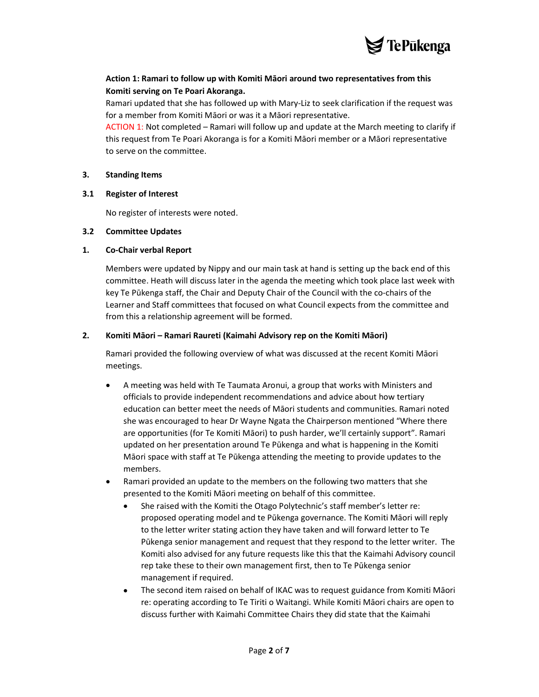

# Action 1: Ramari to follow up with Komiti Māori around two representatives from this Komiti serving on Te Poari Akoranga.

Ramari updated that she has followed up with Mary-Liz to seek clarification if the request was for a member from Komiti Māori or was it a Māori representative.

ACTION 1: Not completed – Ramari will follow up and update at the March meeting to clarify if this request from Te Poari Akoranga is for a Komiti Māori member or a Māori representative to serve on the committee.

#### 3. Standing Items

#### 3.1 Register of Interest

No register of interests were noted.

#### 3.2 Committee Updates

#### 1. Co-Chair verbal Report

Members were updated by Nippy and our main task at hand is setting up the back end of this committee. Heath will discuss later in the agenda the meeting which took place last week with key Te Pūkenga staff, the Chair and Deputy Chair of the Council with the co-chairs of the Learner and Staff committees that focused on what Council expects from the committee and from this a relationship agreement will be formed.

#### 2. Komiti Māori – Ramari Raureti (Kaimahi Advisory rep on the Komiti Māori)

Ramari provided the following overview of what was discussed at the recent Komiti Māori meetings.

- A meeting was held with Te Taumata Aronui, a group that works with Ministers and officials to provide independent recommendations and advice about how tertiary education can better meet the needs of Māori students and communities. Ramari noted she was encouraged to hear Dr Wayne Ngata the Chairperson mentioned "Where there are opportunities (for Te Komiti Māori) to push harder, we'll certainly support". Ramari updated on her presentation around Te Pūkenga and what is happening in the Komiti Māori space with staff at Te Pūkenga attending the meeting to provide updates to the members.
- Ramari provided an update to the members on the following two matters that she presented to the Komiti Māori meeting on behalf of this committee.
	- She raised with the Komiti the Otago Polytechnic's staff member's letter re: proposed operating model and te Pūkenga governance. The Komiti Māori will reply to the letter writer stating action they have taken and will forward letter to Te Pūkenga senior management and request that they respond to the letter writer. The Komiti also advised for any future requests like this that the Kaimahi Advisory council rep take these to their own management first, then to Te Pūkenga senior management if required.
	- The second item raised on behalf of IKAC was to request guidance from Komiti Māori re: operating according to Te Tiriti o Waitangi. While Komiti Māori chairs are open to discuss further with Kaimahi Committee Chairs they did state that the Kaimahi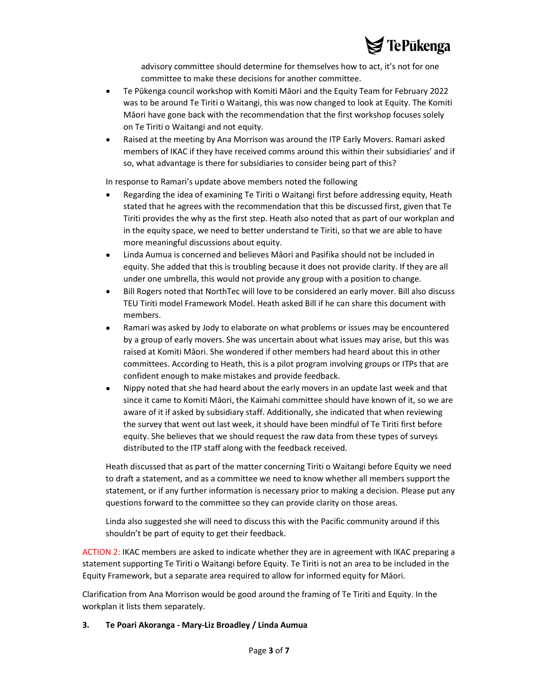

advisory committee should determine for themselves how to act, it's not for one committee to make these decisions for another committee.

- Te Pūkenga council workshop with Komiti Māori and the Equity Team for February 2022 was to be around Te Tiriti o Waitangi, this was now changed to look at Equity. The Komiti Māori have gone back with the recommendation that the first workshop focuses solely on Te Tiriti o Waitangi and not equity.
- Raised at the meeting by Ana Morrison was around the ITP Early Movers. Ramari asked members of IKAC if they have received comms around this within their subsidiaries' and if so, what advantage is there for subsidiaries to consider being part of this?

In response to Ramari's update above members noted the following

- Regarding the idea of examining Te Tiriti o Waitangi first before addressing equity, Heath stated that he agrees with the recommendation that this be discussed first, given that Te Tiriti provides the why as the first step. Heath also noted that as part of our workplan and in the equity space, we need to better understand te Tiriti, so that we are able to have more meaningful discussions about equity.
- Linda Aumua is concerned and believes Māori and Pasifika should not be included in equity. She added that this is troubling because it does not provide clarity. If they are all under one umbrella, this would not provide any group with a position to change.
- Bill Rogers noted that NorthTec will love to be considered an early mover. Bill also discuss TEU Tiriti model Framework Model. Heath asked Bill if he can share this document with members.
- Ramari was asked by Jody to elaborate on what problems or issues may be encountered by a group of early movers. She was uncertain about what issues may arise, but this was raised at Komiti Māori. She wondered if other members had heard about this in other committees. According to Heath, this is a pilot program involving groups or ITPs that are confident enough to make mistakes and provide feedback.
- Nippy noted that she had heard about the early movers in an update last week and that since it came to Komiti Māori, the Kaimahi committee should have known of it, so we are aware of it if asked by subsidiary staff. Additionally, she indicated that when reviewing the survey that went out last week, it should have been mindful of Te Tiriti first before equity. She believes that we should request the raw data from these types of surveys distributed to the ITP staff along with the feedback received.

Heath discussed that as part of the matter concerning Tiriti o Waitangi before Equity we need to draft a statement, and as a committee we need to know whether all members support the statement, or if any further information is necessary prior to making a decision. Please put any questions forward to the committee so they can provide clarity on those areas.

Linda also suggested she will need to discuss this with the Pacific community around if this shouldn't be part of equity to get their feedback.

ACTION 2: IKAC members are asked to indicate whether they are in agreement with IKAC preparing a statement supporting Te Tiriti o Waitangi before Equity. Te Tiriti is not an area to be included in the Equity Framework, but a separate area required to allow for informed equity for Māori.

Clarification from Ana Morrison would be good around the framing of Te Tiriti and Equity. In the workplan it lists them separately.

#### 3. Te Poari Akoranga - Mary-Liz Broadley / Linda Aumua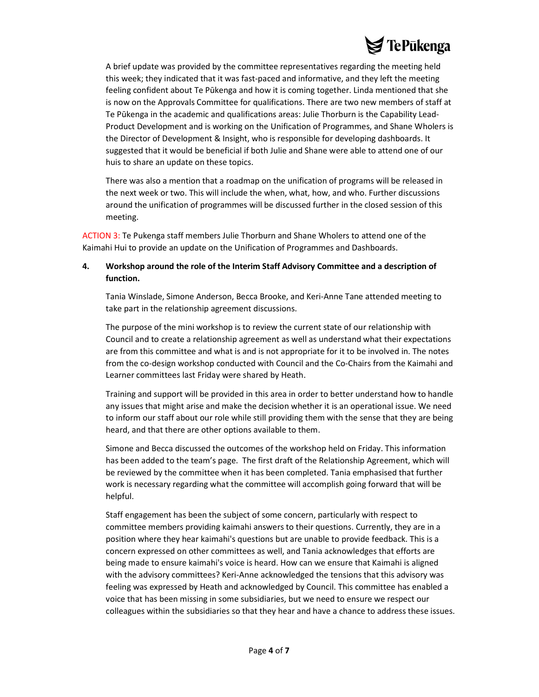

A brief update was provided by the committee representatives regarding the meeting held this week; they indicated that it was fast-paced and informative, and they left the meeting feeling confident about Te Pūkenga and how it is coming together. Linda mentioned that she is now on the Approvals Committee for qualifications. There are two new members of staff at Te Pūkenga in the academic and qualifications areas: Julie Thorburn is the Capability Lead-Product Development and is working on the Unification of Programmes, and Shane Wholers is the Director of Development & Insight, who is responsible for developing dashboards. It suggested that it would be beneficial if both Julie and Shane were able to attend one of our huis to share an update on these topics.

There was also a mention that a roadmap on the unification of programs will be released in the next week or two. This will include the when, what, how, and who. Further discussions around the unification of programmes will be discussed further in the closed session of this meeting.

ACTION 3: Te Pukenga staff members Julie Thorburn and Shane Wholers to attend one of the Kaimahi Hui to provide an update on the Unification of Programmes and Dashboards.

# 4. Workshop around the role of the Interim Staff Advisory Committee and a description of function.

Tania Winslade, Simone Anderson, Becca Brooke, and Keri-Anne Tane attended meeting to take part in the relationship agreement discussions.

The purpose of the mini workshop is to review the current state of our relationship with Council and to create a relationship agreement as well as understand what their expectations are from this committee and what is and is not appropriate for it to be involved in. The notes from the co-design workshop conducted with Council and the Co-Chairs from the Kaimahi and Learner committees last Friday were shared by Heath.

Training and support will be provided in this area in order to better understand how to handle any issues that might arise and make the decision whether it is an operational issue. We need to inform our staff about our role while still providing them with the sense that they are being heard, and that there are other options available to them.

Simone and Becca discussed the outcomes of the workshop held on Friday. This information has been added to the team's page. The first draft of the Relationship Agreement, which will be reviewed by the committee when it has been completed. Tania emphasised that further work is necessary regarding what the committee will accomplish going forward that will be helpful.

Staff engagement has been the subject of some concern, particularly with respect to committee members providing kaimahi answers to their questions. Currently, they are in a position where they hear kaimahi's questions but are unable to provide feedback. This is a concern expressed on other committees as well, and Tania acknowledges that efforts are being made to ensure kaimahi's voice is heard. How can we ensure that Kaimahi is aligned with the advisory committees? Keri-Anne acknowledged the tensions that this advisory was feeling was expressed by Heath and acknowledged by Council. This committee has enabled a voice that has been missing in some subsidiaries, but we need to ensure we respect our colleagues within the subsidiaries so that they hear and have a chance to address these issues.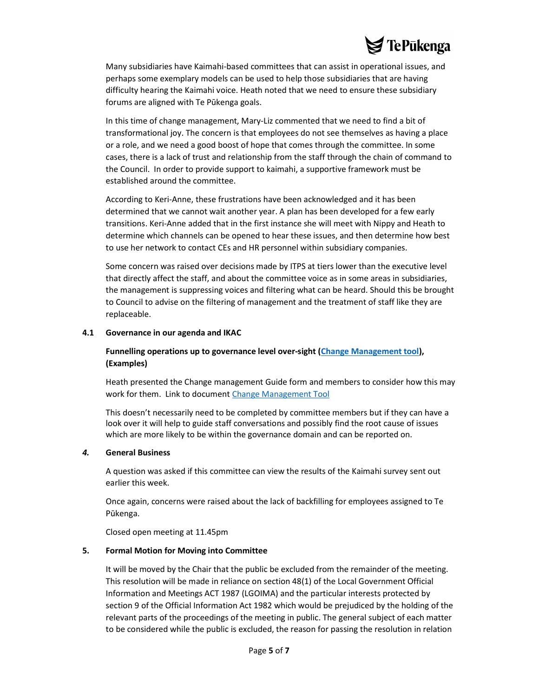# **TePūkenga**

Many subsidiaries have Kaimahi-based committees that can assist in operational issues, and perhaps some exemplary models can be used to help those subsidiaries that are having difficulty hearing the Kaimahi voice. Heath noted that we need to ensure these subsidiary forums are aligned with Te Pūkenga goals.

In this time of change management, Mary-Liz commented that we need to find a bit of transformational joy. The concern is that employees do not see themselves as having a place or a role, and we need a good boost of hope that comes through the committee. In some cases, there is a lack of trust and relationship from the staff through the chain of command to the Council. In order to provide support to kaimahi, a supportive framework must be established around the committee.

According to Keri-Anne, these frustrations have been acknowledged and it has been determined that we cannot wait another year. A plan has been developed for a few early transitions. Keri-Anne added that in the first instance she will meet with Nippy and Heath to determine which channels can be opened to hear these issues, and then determine how best to use her network to contact CEs and HR personnel within subsidiary companies.

Some concern was raised over decisions made by ITPS at tiers lower than the executive level that directly affect the staff, and about the committee voice as in some areas in subsidiaries, the management is suppressing voices and filtering what can be heard. Should this be brought to Council to advise on the filtering of management and the treatment of staff like they are replaceable.

#### 4.1 Governance in our agenda and IKAC

# Funnelling operations up to governance level over-sight (Change Management tool), (Examples)

Heath presented the Change management Guide form and members to consider how this may work for them. Link to document Change Management Tool

This doesn't necessarily need to be completed by committee members but if they can have a look over it will help to guide staff conversations and possibly find the root cause of issues which are more likely to be within the governance domain and can be reported on.

#### 4. General Business

A question was asked if this committee can view the results of the Kaimahi survey sent out earlier this week.

Once again, concerns were raised about the lack of backfilling for employees assigned to Te Pūkenga.

Closed open meeting at 11.45pm

#### 5. Formal Motion for Moving into Committee

It will be moved by the Chair that the public be excluded from the remainder of the meeting. This resolution will be made in reliance on section 48(1) of the Local Government Official Information and Meetings ACT 1987 (LGOIMA) and the particular interests protected by section 9 of the Official Information Act 1982 which would be prejudiced by the holding of the relevant parts of the proceedings of the meeting in public. The general subject of each matter to be considered while the public is excluded, the reason for passing the resolution in relation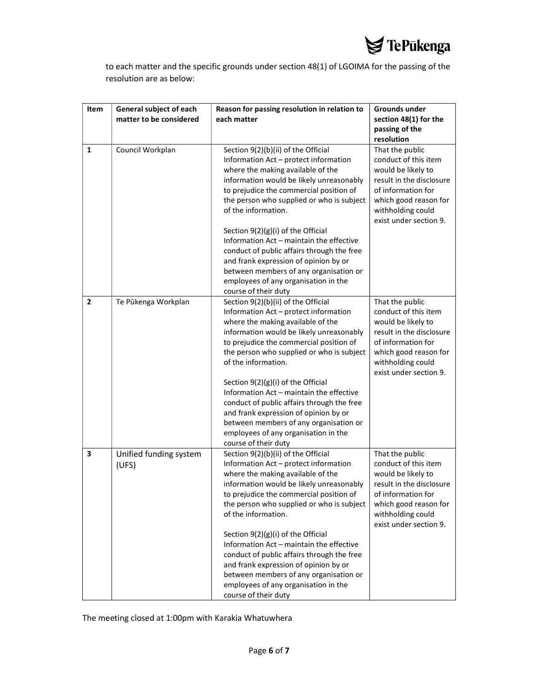

to each matter and the specific grounds under section 48(1) of LGOIMA for the passing of the resolution are as below:

| Item           | General subject of each<br>matter to be considered | Reason for passing resolution in relation to<br>each matter                                                                                                                                                                                                                                                        | Grounds under<br>section 48(1) for the                                                                                                                                                  |
|----------------|----------------------------------------------------|--------------------------------------------------------------------------------------------------------------------------------------------------------------------------------------------------------------------------------------------------------------------------------------------------------------------|-----------------------------------------------------------------------------------------------------------------------------------------------------------------------------------------|
|                |                                                    |                                                                                                                                                                                                                                                                                                                    | passing of the                                                                                                                                                                          |
|                |                                                    |                                                                                                                                                                                                                                                                                                                    | resolution                                                                                                                                                                              |
| 1              | Council Workplan                                   | Section 9(2)(b)(ii) of the Official<br>Information Act - protect information<br>where the making available of the<br>information would be likely unreasonably<br>to prejudice the commercial position of<br>the person who supplied or who is subject<br>of the information.<br>Section 9(2)(g)(i) of the Official | That the public<br>conduct of this item<br>would be likely to<br>result in the disclosure<br>of information for<br>which good reason for<br>withholding could<br>exist under section 9. |
|                |                                                    | Information Act - maintain the effective<br>conduct of public affairs through the free<br>and frank expression of opinion by or<br>between members of any organisation or<br>employees of any organisation in the<br>course of their duty                                                                          |                                                                                                                                                                                         |
| $\overline{2}$ | Te Pūkenga Workplan                                | Section 9(2)(b)(ii) of the Official<br>Information Act - protect information<br>where the making available of the<br>information would be likely unreasonably<br>to prejudice the commercial position of<br>the person who supplied or who is subject<br>of the information.                                       | That the public<br>conduct of this item<br>would be likely to<br>result in the disclosure<br>of information for<br>which good reason for<br>withholding could<br>exist under section 9. |
|                |                                                    | Section $9(2)(g)(i)$ of the Official<br>Information Act - maintain the effective<br>conduct of public affairs through the free<br>and frank expression of opinion by or<br>between members of any organisation or<br>employees of any organisation in the<br>course of their duty                                  |                                                                                                                                                                                         |
| 3              | Unified funding system<br>(UFS)                    | Section 9(2)(b)(ii) of the Official<br>Information Act - protect information<br>where the making available of the<br>information would be likely unreasonably<br>to prejudice the commercial position of<br>the person who supplied or who is subject<br>of the information.                                       | That the public<br>conduct of this item<br>would be likely to<br>result in the disclosure<br>of information for<br>which good reason for<br>withholding could<br>exist under section 9. |
|                |                                                    | Section 9(2)(g)(i) of the Official<br>Information Act - maintain the effective<br>conduct of public affairs through the free<br>and frank expression of opinion by or<br>between members of any organisation or<br>employees of any organisation in the<br>course of their duty                                    |                                                                                                                                                                                         |

The meeting closed at 1:00pm with Karakia Whatuwhera